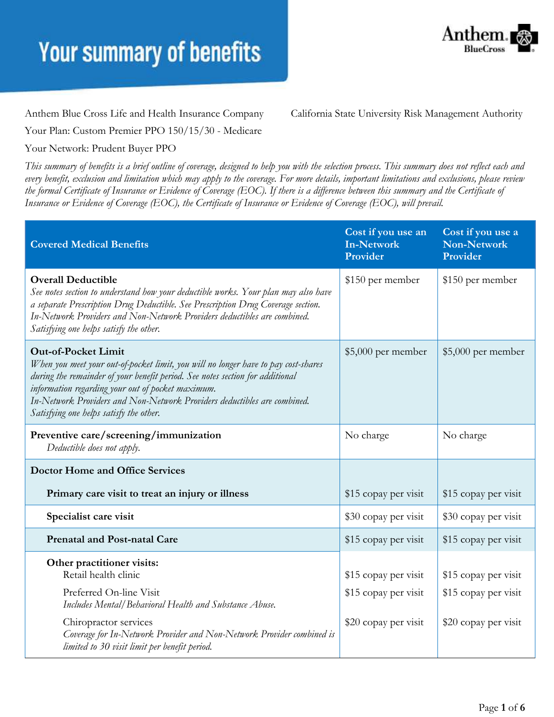

Anthem Blue Cross Life and Health Insurance Company California State University Risk Management Authority

Your Plan: Custom Premier PPO 150/15/30 - Medicare

#### Your Network: Prudent Buyer PPO

*This summary of benefits is a brief outline of coverage, designed to help you with the selection process. This summary does not reflect each and every benefit, exclusion and limitation which may apply to the coverage. For more details, important limitations and exclusions, please review the formal Certificate of Insurance or Evidence of Coverage (EOC). If there is a difference between this summary and the Certificate of Insurance or Evidence of Coverage (EOC), the Certificate of Insurance or Evidence of Coverage (EOC), will prevail.*

| <b>Covered Medical Benefits</b>                                                                                                                                                                                                                                                                                                                                               | Cost if you use an<br><b>In-Network</b><br>Provider | Cost if you use a<br><b>Non-Network</b><br>Provider |
|-------------------------------------------------------------------------------------------------------------------------------------------------------------------------------------------------------------------------------------------------------------------------------------------------------------------------------------------------------------------------------|-----------------------------------------------------|-----------------------------------------------------|
| <b>Overall Deductible</b><br>See notes section to understand how your deductible works. Your plan may also have<br>a separate Prescription Drug Deductible. See Prescription Drug Coverage section.<br>In-Network Providers and Non-Network Providers deductibles are combined.<br>Satisfying one helps satisfy the other.                                                    | \$150 per member                                    | \$150 per member                                    |
| <b>Out-of-Pocket Limit</b><br>When you meet your out-of-pocket limit, you will no longer have to pay cost-shares<br>during the remainder of your benefit period. See notes section for additional<br>information regarding your out of pocket maximum.<br>In-Network Providers and Non-Network Providers deductibles are combined.<br>Satisfying one helps satisfy the other. | $$5,000$ per member                                 | \$5,000 per member                                  |
| Preventive care/screening/immunization<br>Deductible does not apply.                                                                                                                                                                                                                                                                                                          | No charge                                           | No charge                                           |
| <b>Doctor Home and Office Services</b>                                                                                                                                                                                                                                                                                                                                        |                                                     |                                                     |
| Primary care visit to treat an injury or illness                                                                                                                                                                                                                                                                                                                              | \$15 copay per visit                                | \$15 copay per visit                                |
| Specialist care visit                                                                                                                                                                                                                                                                                                                                                         | \$30 copay per visit                                | \$30 copay per visit                                |
| <b>Prenatal and Post-natal Care</b>                                                                                                                                                                                                                                                                                                                                           | \$15 copay per visit                                | \$15 copay per visit                                |
| Other practitioner visits:<br>Retail health clinic                                                                                                                                                                                                                                                                                                                            | \$15 copay per visit                                | \$15 copay per visit                                |
| Preferred On-line Visit<br>Includes Mental/Behavioral Health and Substance Abuse.                                                                                                                                                                                                                                                                                             | \$15 copay per visit                                | \$15 copay per visit                                |
| Chiropractor services<br>Coverage for In-Network Provider and Non-Network Provider combined is<br>limited to 30 visit limit per benefit period.                                                                                                                                                                                                                               | \$20 copay per visit                                | \$20 copay per visit                                |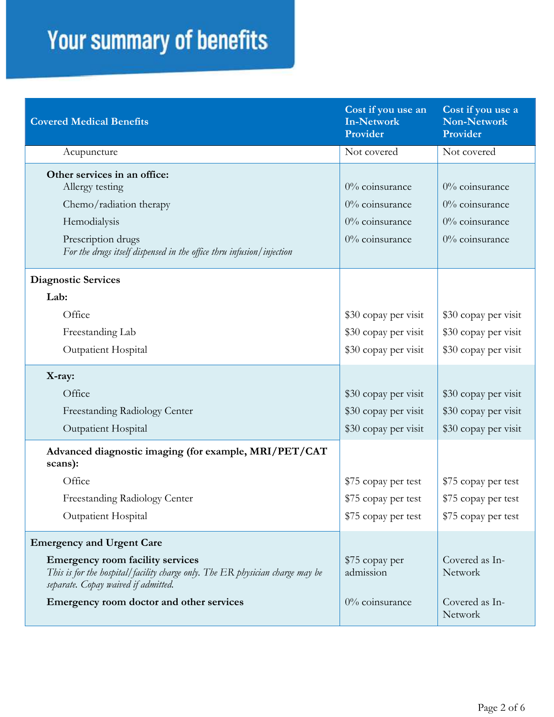| <b>Covered Medical Benefits</b>                                                                                                                                                          | Cost if you use an<br>In-Network<br>Provider                            | Cost if you use a<br><b>Non-Network</b><br>Provider                           |
|------------------------------------------------------------------------------------------------------------------------------------------------------------------------------------------|-------------------------------------------------------------------------|-------------------------------------------------------------------------------|
| Acupuncture                                                                                                                                                                              | Not covered                                                             | Not covered                                                                   |
| Other services in an office:<br>Allergy testing<br>Chemo/radiation therapy<br>Hemodialysis<br>Prescription drugs<br>For the drugs itself dispensed in the office thru infusion/injection | $0\%$ coinsurance<br>0% coinsurance<br>0% coinsurance<br>0% coinsurance | $0\%$ coinsurance<br>$0\%$ coinsurance<br>$0\%$ coinsurance<br>0% coinsurance |
| <b>Diagnostic Services</b>                                                                                                                                                               |                                                                         |                                                                               |
| Lab:                                                                                                                                                                                     |                                                                         |                                                                               |
| Office                                                                                                                                                                                   | \$30 copay per visit                                                    | \$30 copay per visit                                                          |
| Freestanding Lab                                                                                                                                                                         | \$30 copay per visit                                                    | \$30 copay per visit                                                          |
| Outpatient Hospital                                                                                                                                                                      | \$30 copay per visit                                                    | \$30 copay per visit                                                          |
| X-ray:                                                                                                                                                                                   |                                                                         |                                                                               |
| Office                                                                                                                                                                                   | \$30 copay per visit                                                    | \$30 copay per visit                                                          |
| Freestanding Radiology Center                                                                                                                                                            | \$30 copay per visit                                                    | \$30 copay per visit                                                          |
| Outpatient Hospital                                                                                                                                                                      | \$30 copay per visit                                                    | \$30 copay per visit                                                          |
| Advanced diagnostic imaging (for example, MRI/PET/CAT<br>scans):                                                                                                                         |                                                                         |                                                                               |
| Office                                                                                                                                                                                   | \$75 copay per test                                                     | \$75 copay per test                                                           |
| Freestanding Radiology Center                                                                                                                                                            | \$75 copay per test                                                     | \$75 copay per test                                                           |
| Outpatient Hospital                                                                                                                                                                      | \$75 copay per test                                                     | \$75 copay per test                                                           |
| <b>Emergency and Urgent Care</b>                                                                                                                                                         |                                                                         |                                                                               |
| <b>Emergency room facility services</b><br>This is for the hospital/facility charge only. The ER physician charge may be<br>separate. Copay waived if admitted.                          | \$75 copay per<br>admission                                             | Covered as In-<br>Network                                                     |
| Emergency room doctor and other services                                                                                                                                                 | $0\%$ coinsurance                                                       | Covered as In-<br>Network                                                     |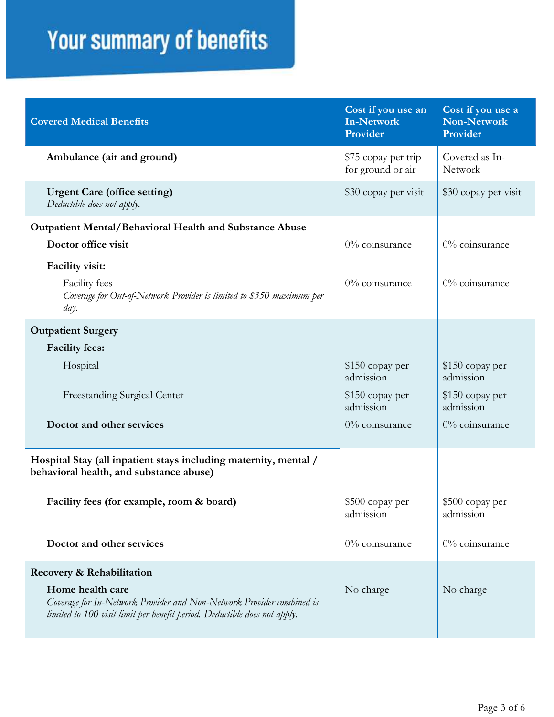| <b>Covered Medical Benefits</b>                                                                                                                                        | Cost if you use an<br><b>In-Network</b><br>Provider | Cost if you use a<br>Non-Network<br>Provider |
|------------------------------------------------------------------------------------------------------------------------------------------------------------------------|-----------------------------------------------------|----------------------------------------------|
| Ambulance (air and ground)                                                                                                                                             | \$75 copay per trip<br>for ground or air            | Covered as In-<br>Network                    |
| <b>Urgent Care (office setting)</b><br>Deductible does not apply.                                                                                                      | \$30 copay per visit                                | \$30 copay per visit                         |
| <b>Outpatient Mental/Behavioral Health and Substance Abuse</b>                                                                                                         |                                                     |                                              |
| Doctor office visit                                                                                                                                                    | 0% coinsurance                                      | 0% coinsurance                               |
| Facility visit:                                                                                                                                                        |                                                     |                                              |
| Facility fees<br>Coverage for Out-of-Network Provider is limited to \$350 maximum per<br>day.                                                                          | $0\%$ coinsurance                                   | $0\%$ coinsurance                            |
| <b>Outpatient Surgery</b>                                                                                                                                              |                                                     |                                              |
| <b>Facility fees:</b>                                                                                                                                                  |                                                     |                                              |
| Hospital                                                                                                                                                               | \$150 copay per<br>admission                        | \$150 copay per<br>admission                 |
| <b>Freestanding Surgical Center</b>                                                                                                                                    | $$150$ copay per<br>admission                       | \$150 copay per<br>admission                 |
| Doctor and other services                                                                                                                                              | 0% coinsurance                                      | 0% coinsurance                               |
| Hospital Stay (all inpatient stays including maternity, mental /<br>behavioral health, and substance abuse)                                                            |                                                     |                                              |
| Facility fees (for example, room & board)                                                                                                                              | \$500 copay per<br>admission                        | \$500 copay per<br>admission                 |
| Doctor and other services                                                                                                                                              | 0% coinsurance                                      | 0% coinsurance                               |
| Recovery & Rehabilitation                                                                                                                                              |                                                     |                                              |
| Home health care<br>Coverage for In-Network Provider and Non-Network Provider combined is<br>limited to 100 visit limit per benefit period. Deductible does not apply. | No charge                                           | No charge                                    |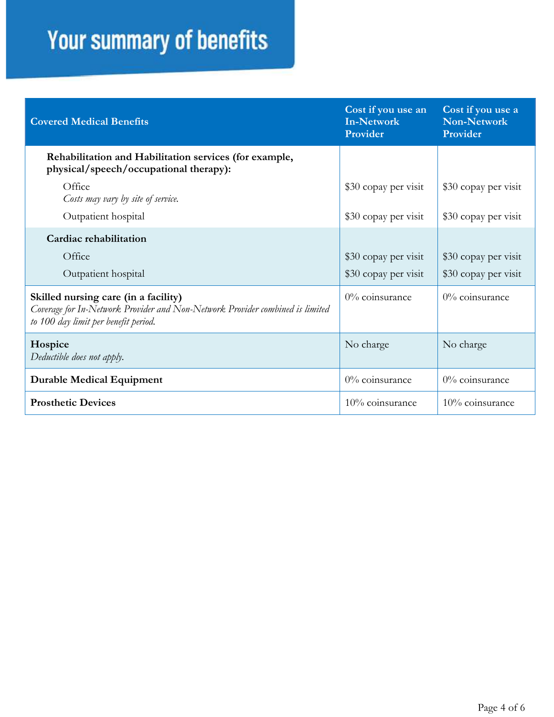| <b>Covered Medical Benefits</b>                                                                                                                               | Cost if you use an<br><b>In-Network</b><br>Provider | Cost if you use a<br><b>Non-Network</b><br>Provider |
|---------------------------------------------------------------------------------------------------------------------------------------------------------------|-----------------------------------------------------|-----------------------------------------------------|
| Rehabilitation and Habilitation services (for example,<br>physical/speech/occupational therapy):                                                              |                                                     |                                                     |
| Office<br>Costs may vary by site of service.                                                                                                                  | \$30 copay per visit                                | \$30 copay per visit                                |
| Outpatient hospital                                                                                                                                           | \$30 copay per visit                                | \$30 copay per visit                                |
| Cardiac rehabilitation                                                                                                                                        |                                                     |                                                     |
| Office                                                                                                                                                        | \$30 copay per visit                                | \$30 copay per visit                                |
| Outpatient hospital                                                                                                                                           | \$30 copay per visit                                | \$30 copay per visit                                |
| Skilled nursing care (in a facility)<br>Coverage for In-Network Provider and Non-Network Provider combined is limited<br>to 100 day limit per benefit period. | $0\%$ coinsurance                                   | $0\%$ coinsurance                                   |
| Hospice<br>Deductible does not apply.                                                                                                                         | No charge                                           | No charge                                           |
| <b>Durable Medical Equipment</b>                                                                                                                              | 0% coinsurance                                      | 0% coinsurance                                      |
| <b>Prosthetic Devices</b>                                                                                                                                     | 10% coinsurance                                     | 10% coinsurance                                     |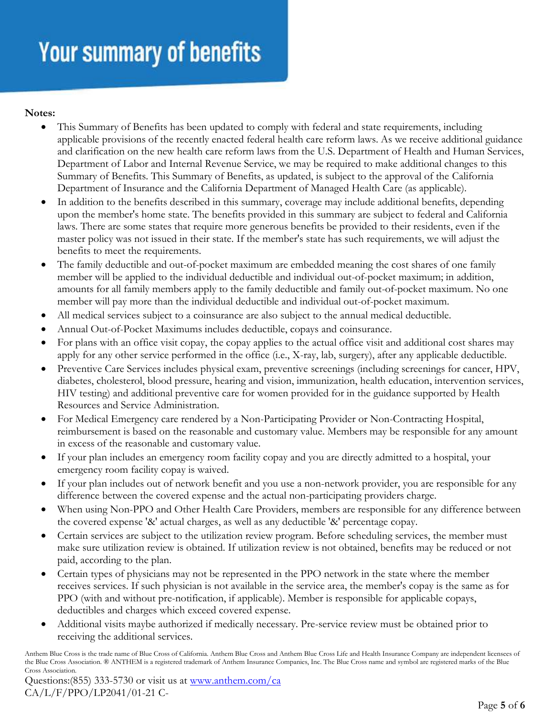#### **Notes:**

- This Summary of Benefits has been updated to comply with federal and state requirements, including applicable provisions of the recently enacted federal health care reform laws. As we receive additional guidance and clarification on the new health care reform laws from the U.S. Department of Health and Human Services, Department of Labor and Internal Revenue Service, we may be required to make additional changes to this Summary of Benefits. This Summary of Benefits, as updated, is subject to the approval of the California Department of Insurance and the California Department of Managed Health Care (as applicable).
- In addition to the benefits described in this summary, coverage may include additional benefits, depending upon the member's home state. The benefits provided in this summary are subject to federal and California laws. There are some states that require more generous benefits be provided to their residents, even if the master policy was not issued in their state. If the member's state has such requirements, we will adjust the benefits to meet the requirements.
- The family deductible and out-of-pocket maximum are embedded meaning the cost shares of one family member will be applied to the individual deductible and individual out-of-pocket maximum; in addition, amounts for all family members apply to the family deductible and family out-of-pocket maximum. No one member will pay more than the individual deductible and individual out-of-pocket maximum.
- All medical services subject to a coinsurance are also subject to the annual medical deductible.
- Annual Out-of-Pocket Maximums includes deductible, copays and coinsurance.
- For plans with an office visit copay, the copay applies to the actual office visit and additional cost shares may apply for any other service performed in the office (i.e., X-ray, lab, surgery), after any applicable deductible.
- Preventive Care Services includes physical exam, preventive screenings (including screenings for cancer, HPV, diabetes, cholesterol, blood pressure, hearing and vision, immunization, health education, intervention services, HIV testing) and additional preventive care for women provided for in the guidance supported by Health Resources and Service Administration.
- For Medical Emergency care rendered by a Non-Participating Provider or Non-Contracting Hospital, reimbursement is based on the reasonable and customary value. Members may be responsible for any amount in excess of the reasonable and customary value.
- If your plan includes an emergency room facility copay and you are directly admitted to a hospital, your emergency room facility copay is waived.
- If your plan includes out of network benefit and you use a non-network provider, you are responsible for any difference between the covered expense and the actual non-participating providers charge.
- When using Non-PPO and Other Health Care Providers, members are responsible for any difference between the covered expense '&' actual charges, as well as any deductible '&' percentage copay.
- Certain services are subject to the utilization review program. Before scheduling services, the member must make sure utilization review is obtained. If utilization review is not obtained, benefits may be reduced or not paid, according to the plan.
- Certain types of physicians may not be represented in the PPO network in the state where the member receives services. If such physician is not available in the service area, the member's copay is the same as for PPO (with and without pre-notification, if applicable). Member is responsible for applicable copays, deductibles and charges which exceed covered expense.
- Additional visits maybe authorized if medically necessary. Pre-service review must be obtained prior to receiving the additional services.

Anthem Blue Cross is the trade name of Blue Cross of California. Anthem Blue Cross and Anthem Blue Cross Life and Health Insurance Company are independent licensees of the Blue Cross Association. ® ANTHEM is a registered trademark of Anthem Insurance Companies, Inc. The Blue Cross name and symbol are registered marks of the Blue Cross Association.